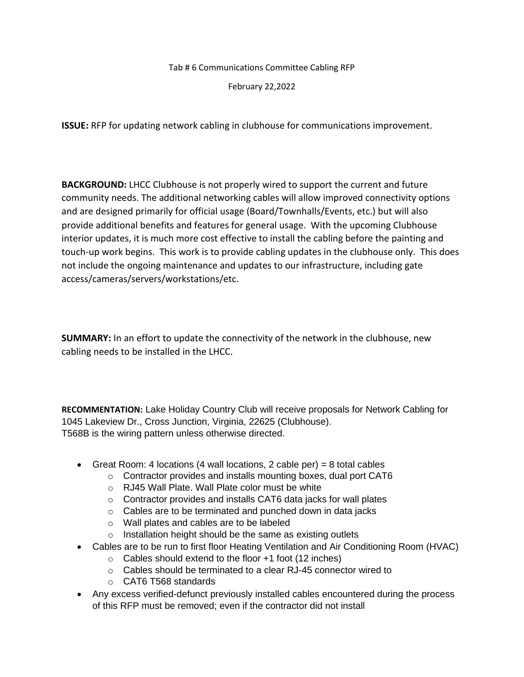Tab # 6 Communications Committee Cabling RFP

February 22,2022

**ISSUE:** RFP for updating network cabling in clubhouse for communications improvement.

**BACKGROUND:** LHCC Clubhouse is not properly wired to support the current and future community needs. The additional networking cables will allow improved connectivity options and are designed primarily for official usage (Board/Townhalls/Events, etc.) but will also provide additional benefits and features for general usage. With the upcoming Clubhouse interior updates, it is much more cost effective to install the cabling before the painting and touch-up work begins. This work is to provide cabling updates in the clubhouse only. This does not include the ongoing maintenance and updates to our infrastructure, including gate access/cameras/servers/workstations/etc.

**SUMMARY:** In an effort to update the connectivity of the network in the clubhouse, new cabling needs to be installed in the LHCC.

**RECOMMENTATION:** Lake Holiday Country Club will receive proposals for Network Cabling for 1045 Lakeview Dr., Cross Junction, Virginia, 22625 (Clubhouse). T568B is the wiring pattern unless otherwise directed.

- Great Room: 4 locations (4 wall locations, 2 cable per) = 8 total cables
	- o Contractor provides and installs mounting boxes, dual port CAT6
	- o RJ45 Wall Plate. Wall Plate color must be white
	- o Contractor provides and installs CAT6 data jacks for wall plates
	- o Cables are to be terminated and punched down in data jacks
	- o Wall plates and cables are to be labeled
	- o Installation height should be the same as existing outlets
- Cables are to be run to first floor Heating Ventilation and Air Conditioning Room (HVAC)
	- o Cables should extend to the floor +1 foot (12 inches)
	- o Cables should be terminated to a clear RJ-45 connector wired to
	- o CAT6 T568 standards
- Any excess verified-defunct previously installed cables encountered during the process of this RFP must be removed; even if the contractor did not install